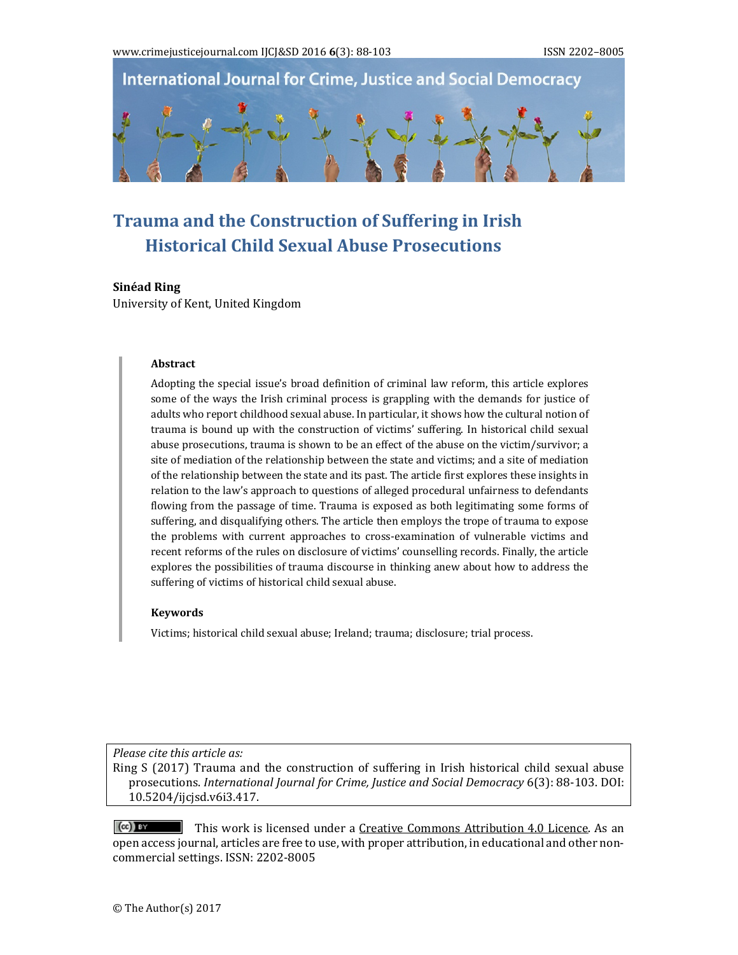

# **Trauma and the Construction of Suffering in Irish Historical Child Sexual Abuse Prosecutions**

#### **Sinéad** Ring

University of Kent, United Kingdom

#### **Abstract**

Adopting the special issue's broad definition of criminal law reform, this article explores some of the ways the Irish criminal process is grappling with the demands for justice of adults who report childhood sexual abuse. In particular, it shows how the cultural notion of trauma is bound up with the construction of victims' suffering. In historical child sexual abuse prosecutions, trauma is shown to be an effect of the abuse on the victim/survivor; a site of mediation of the relationship between the state and victims; and a site of mediation of the relationship between the state and its past. The article first explores these insights in relation to the law's approach to questions of alleged procedural unfairness to defendants flowing from the passage of time. Trauma is exposed as both legitimating some forms of suffering, and disqualifying others. The article then employs the trope of trauma to expose the problems with current approaches to cross-examination of vulnerable victims and recent reforms of the rules on disclosure of victims' counselling records. Finally, the article explores the possibilities of trauma discourse in thinking anew about how to address the suffering of victims of historical child sexual abuse.

#### **Keywords**

Victims; historical child sexual abuse; Ireland; trauma; disclosure; trial process.

*Please cite this article as:*

Ring S (2017) Trauma and the construction of suffering in Irish historical child sexual abuse prosecutions. *International Journal for Crime, Justice and Social Democracy* 6(3): 88‐103. DOI: 10.5204/ijcjsd.v6i3.417. 

 $(cc)$  BY This work is licensed under a Creative Commons Attribution 4.0 Licence. As an open access journal, articles are free to use, with proper attribution, in educational and other noncommercial settings. ISSN: 2202-8005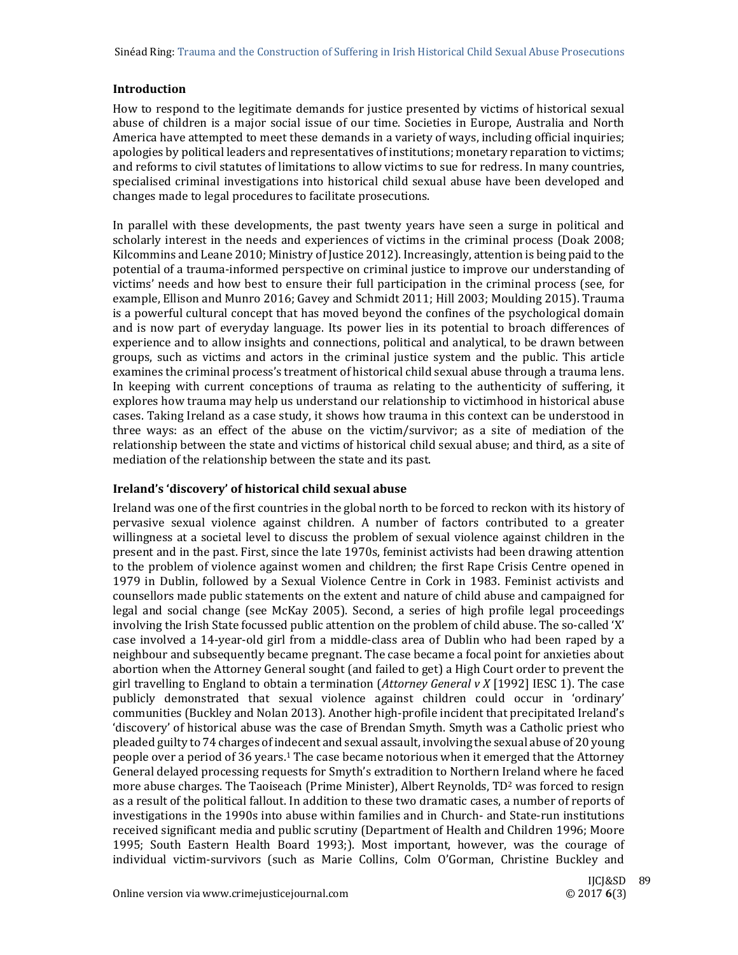# **Introduction**

How to respond to the legitimate demands for justice presented by victims of historical sexual abuse of children is a major social issue of our time. Societies in Europe, Australia and North America have attempted to meet these demands in a variety of ways, including official inquiries; apologies by political leaders and representatives of institutions; monetary reparation to victims; and reforms to civil statutes of limitations to allow victims to sue for redress. In many countries, specialised criminal investigations into historical child sexual abuse have been developed and changes made to legal procedures to facilitate prosecutions.

In parallel with these developments, the past twenty years have seen a surge in political and scholarly interest in the needs and experiences of victims in the criminal process (Doak 2008; Kilcommins and Leane 2010; Ministry of Justice 2012). Increasingly, attention is being paid to the potential of a trauma-informed perspective on criminal justice to improve our understanding of victims' needs and how best to ensure their full participation in the criminal process (see, for example, Ellison and Munro 2016; Gavey and Schmidt 2011; Hill 2003; Moulding 2015). Trauma is a powerful cultural concept that has moved beyond the confines of the psychological domain and is now part of everyday language. Its power lies in its potential to broach differences of experience and to allow insights and connections, political and analytical, to be drawn between groups, such as victims and actors in the criminal justice system and the public. This article examines the criminal process's treatment of historical child sexual abuse through a trauma lens. In keeping with current conceptions of trauma as relating to the authenticity of suffering, it explores how trauma may help us understand our relationship to victimhood in historical abuse cases. Taking Ireland as a case study, it shows how trauma in this context can be understood in three ways: as an effect of the abuse on the victim/survivor; as a site of mediation of the relationship between the state and victims of historical child sexual abuse; and third, as a site of mediation of the relationship between the state and its past.

# **Ireland's 'discovery' of historical child sexual abuse**

Ireland was one of the first countries in the global north to be forced to reckon with its history of pervasive sexual violence against children. A number of factors contributed to a greater willingness at a societal level to discuss the problem of sexual violence against children in the present and in the past. First, since the late 1970s, feminist activists had been drawing attention to the problem of violence against women and children; the first Rape Crisis Centre opened in 1979 in Dublin, followed by a Sexual Violence Centre in Cork in 1983. Feminist activists and counsellors made public statements on the extent and nature of child abuse and campaigned for legal and social change (see McKay 2005). Second, a series of high profile legal proceedings involving the Irish State focussed public attention on the problem of child abuse. The so-called 'X' case involved a 14-year-old girl from a middle-class area of Dublin who had been raped by a neighbour and subsequently became pregnant. The case became a focal point for anxieties about abortion when the Attorney General sought (and failed to get) a High Court order to prevent the girl travelling to England to obtain a termination (*Attorney General*  $vX$  [1992] IESC 1). The case publicly demonstrated that sexual violence against children could occur in 'ordinary' communities (Buckley and Nolan 2013). Another high-profile incident that precipitated Ireland's 'discovery' of historical abuse was the case of Brendan Smyth. Smyth was a Catholic priest who pleaded guilty to 74 charges of indecent and sexual assault, involving the sexual abuse of 20 young people over a period of 36 years.<sup>1</sup> The case became notorious when it emerged that the Attorney General delayed processing requests for Smyth's extradition to Northern Ireland where he faced more abuse charges. The Taoiseach (Prime Minister), Albert Reynolds,  $TD^2$  was forced to resign as a result of the political fallout. In addition to these two dramatic cases, a number of reports of investigations in the 1990s into abuse within families and in Church- and State-run institutions received significant media and public scrutiny (Department of Health and Children 1996; Moore 1995; South Eastern Health Board 1993;). Most important, however, was the courage of individual victim-survivors (such as Marie Collins, Colm O'Gorman, Christine Buckley and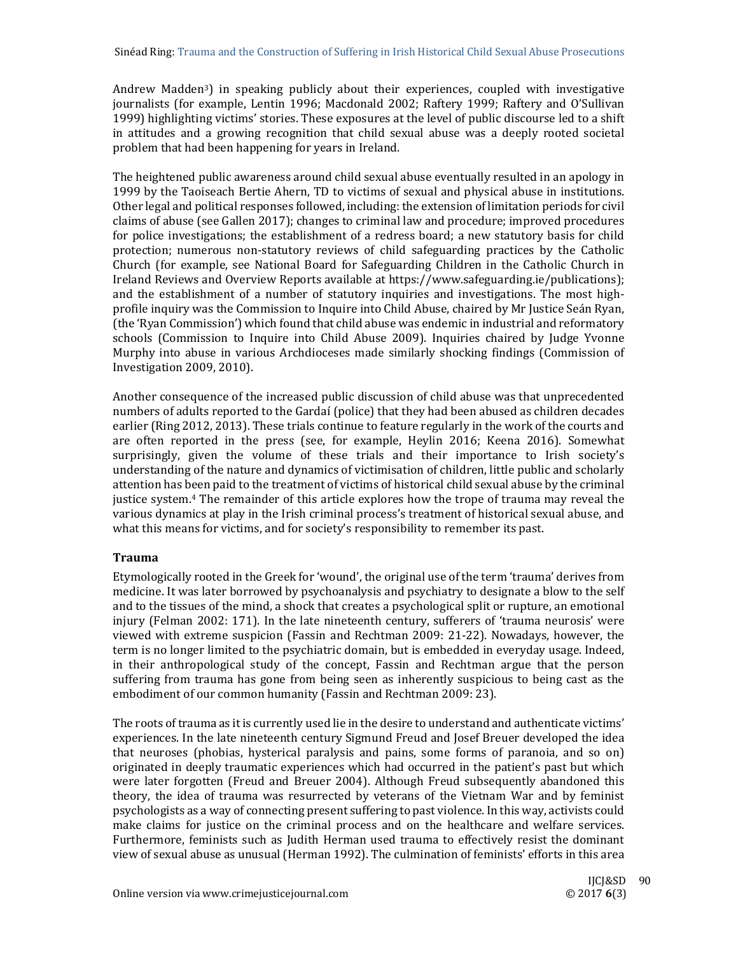Andrew Madden<sup>3</sup>) in speaking publicly about their experiences, coupled with investigative journalists (for example, Lentin 1996; Macdonald 2002; Raftery 1999; Raftery and O'Sullivan 1999) highlighting victims' stories. These exposures at the level of public discourse led to a shift in attitudes and a growing recognition that child sexual abuse was a deeply rooted societal problem that had been happening for years in Ireland.

The heightened public awareness around child sexual abuse eventually resulted in an apology in 1999 by the Taoiseach Bertie Ahern, TD to victims of sexual and physical abuse in institutions. Other legal and political responses followed, including: the extension of limitation periods for civil claims of abuse (see Gallen 2017); changes to criminal law and procedure; improved procedures for police investigations; the establishment of a redress board; a new statutory basis for child protection; numerous non-statutory reviews of child safeguarding practices by the Catholic Church (for example, see National Board for Safeguarding Children in the Catholic Church in Ireland Reviews and Overview Reports available at https://www.safeguarding.ie/publications); and the establishment of a number of statutory inquiries and investigations. The most highprofile inquiry was the Commission to Inquire into Child Abuse, chaired by Mr Justice Seán Ryan, (the 'Ryan Commission') which found that child abuse was endemic in industrial and reformatory schools (Commission to Inquire into Child Abuse 2009). Inquiries chaired by Judge Yvonne Murphy into abuse in various Archdioceses made similarly shocking findings (Commission of Investigation 2009, 2010).

Another consequence of the increased public discussion of child abuse was that unprecedented numbers of adults reported to the Gardaí (police) that they had been abused as children decades earlier (Ring 2012, 2013). These trials continue to feature regularly in the work of the courts and are often reported in the press (see, for example, Heylin 2016; Keena 2016). Somewhat surprisingly, given the volume of these trials and their importance to Irish society's understanding of the nature and dynamics of victimisation of children, little public and scholarly attention has been paid to the treatment of victims of historical child sexual abuse by the criminal justice system.<sup>4</sup> The remainder of this article explores how the trope of trauma may reveal the various dynamics at play in the Irish criminal process's treatment of historical sexual abuse, and what this means for victims, and for society's responsibility to remember its past.

# **Trauma**

Etymologically rooted in the Greek for 'wound', the original use of the term 'trauma' derives from medicine. It was later borrowed by psychoanalysis and psychiatry to designate a blow to the self and to the tissues of the mind, a shock that creates a psychological split or rupture, an emotional injury (Felman 2002: 171). In the late nineteenth century, sufferers of 'trauma neurosis' were viewed with extreme suspicion (Fassin and Rechtman 2009: 21-22). Nowadays, however, the term is no longer limited to the psychiatric domain, but is embedded in everyday usage. Indeed, in their anthropological study of the concept, Fassin and Rechtman argue that the person suffering from trauma has gone from being seen as inherently suspicious to being cast as the embodiment of our common humanity (Fassin and Rechtman 2009: 23).

The roots of trauma as it is currently used lie in the desire to understand and authenticate victims' experiences. In the late nineteenth century Sigmund Freud and Josef Breuer developed the idea that neuroses (phobias, hysterical paralysis and pains, some forms of paranoia, and so on) originated in deeply traumatic experiences which had occurred in the patient's past but which were later forgotten (Freud and Breuer 2004). Although Freud subsequently abandoned this theory, the idea of trauma was resurrected by veterans of the Vietnam War and by feminist psychologists as a way of connecting present suffering to past violence. In this way, activists could make claims for justice on the criminal process and on the healthcare and welfare services. Furthermore, feminists such as Judith Herman used trauma to effectively resist the dominant view of sexual abuse as unusual (Herman 1992). The culmination of feminists' efforts in this area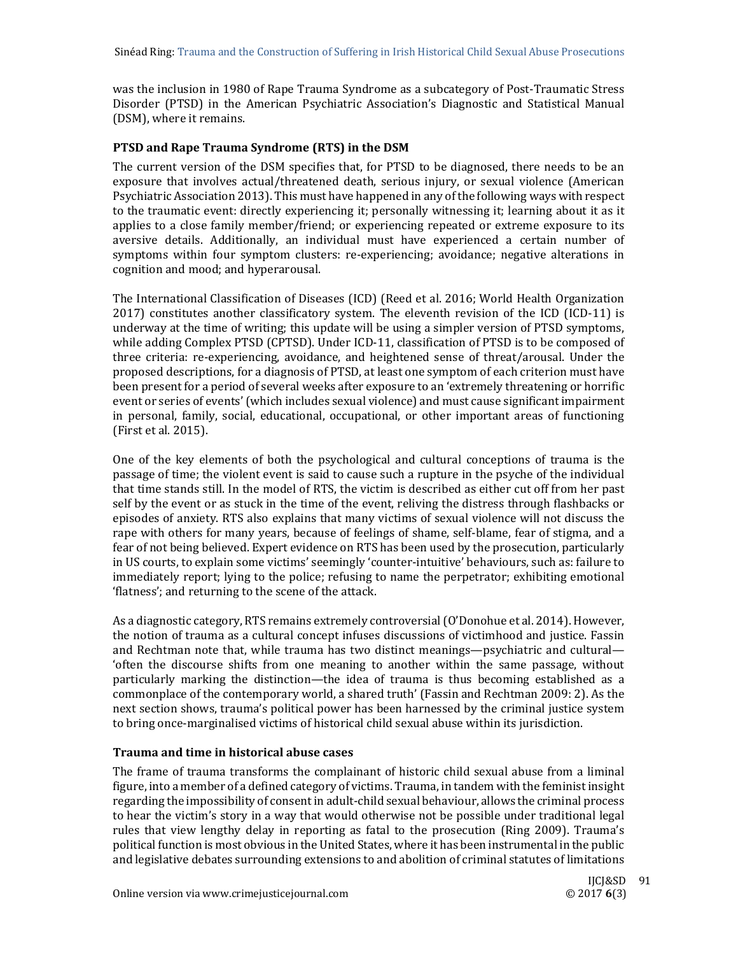was the inclusion in 1980 of Rape Trauma Syndrome as a subcategory of Post-Traumatic Stress Disorder (PTSD) in the American Psychiatric Association's Diagnostic and Statistical Manual (DSM), where it remains.

## **PTSD and Rape Trauma Syndrome (RTS) in the DSM**

The current version of the DSM specifies that, for PTSD to be diagnosed, there needs to be an exposure that involves actual/threatened death, serious injury, or sexual violence (American Psychiatric Association 2013). This must have happened in any of the following ways with respect to the traumatic event: directly experiencing it; personally witnessing it; learning about it as it applies to a close family member/friend; or experiencing repeated or extreme exposure to its aversive details. Additionally, an individual must have experienced a certain number of symptoms within four symptom clusters: re-experiencing; avoidance; negative alterations in cognition and mood; and hyperarousal.

The International Classification of Diseases (ICD) (Reed et al. 2016; World Health Organization  $2017$ ) constitutes another classificatory system. The eleventh revision of the ICD (ICD-11) is underway at the time of writing; this update will be using a simpler version of PTSD symptoms, while adding Complex PTSD (CPTSD). Under ICD-11, classification of PTSD is to be composed of three criteria: re-experiencing, avoidance, and heightened sense of threat/arousal. Under the proposed descriptions, for a diagnosis of PTSD, at least one symptom of each criterion must have been present for a period of several weeks after exposure to an 'extremely threatening or horrific event or series of events' (which includes sexual violence) and must cause significant impairment in personal, family, social, educational, occupational, or other important areas of functioning (First et al. 2015).

One of the key elements of both the psychological and cultural conceptions of trauma is the passage of time; the violent event is said to cause such a rupture in the psyche of the individual that time stands still. In the model of RTS, the victim is described as either cut off from her past self by the event or as stuck in the time of the event, reliving the distress through flashbacks or episodes of anxiety. RTS also explains that many victims of sexual violence will not discuss the rape with others for many years, because of feelings of shame, self-blame, fear of stigma, and a fear of not being believed. Expert evidence on RTS has been used by the prosecution, particularly in US courts, to explain some victims' seemingly 'counter-intuitive' behaviours, such as: failure to immediately report; lying to the police; refusing to name the perpetrator; exhibiting emotional 'flatness'; and returning to the scene of the attack.

As a diagnostic category, RTS remains extremely controversial (O'Donohue et al. 2014). However, the notion of trauma as a cultural concept infuses discussions of victimhood and justice. Fassin and Rechtman note that, while trauma has two distinct meanings—psychiatric and cultural— 'often the discourse shifts from one meaning to another within the same passage, without particularly marking the distinction—the idea of trauma is thus becoming established as a commonplace of the contemporary world, a shared truth' (Fassin and Rechtman 2009: 2). As the next section shows, trauma's political power has been harnessed by the criminal justice system to bring once-marginalised victims of historical child sexual abuse within its jurisdiction.

#### **Trauma and time in historical abuse cases**

The frame of trauma transforms the complainant of historic child sexual abuse from a liminal figure, into a member of a defined category of victims. Trauma, in tandem with the feminist insight regarding the impossibility of consent in adult-child sexual behaviour, allows the criminal process to hear the victim's story in a way that would otherwise not be possible under traditional legal rules that view lengthy delay in reporting as fatal to the prosecution (Ring 2009). Trauma's political function is most obvious in the United States, where it has been instrumental in the public and legislative debates surrounding extensions to and abolition of criminal statutes of limitations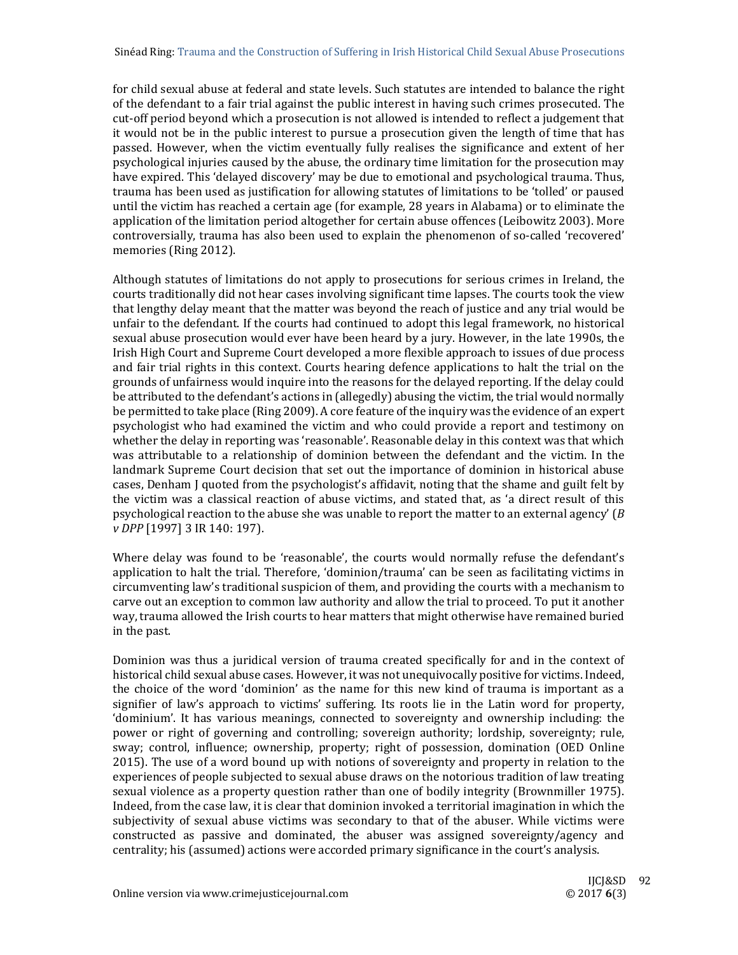for child sexual abuse at federal and state levels. Such statutes are intended to balance the right of the defendant to a fair trial against the public interest in having such crimes prosecuted. The cut-off period beyond which a prosecution is not allowed is intended to reflect a judgement that it would not be in the public interest to pursue a prosecution given the length of time that has passed. However, when the victim eventually fully realises the significance and extent of her psychological injuries caused by the abuse, the ordinary time limitation for the prosecution may have expired. This 'delayed discovery' may be due to emotional and psychological trauma. Thus, trauma has been used as justification for allowing statutes of limitations to be 'tolled' or paused until the victim has reached a certain age (for example, 28 years in Alabama) or to eliminate the application of the limitation period altogether for certain abuse offences (Leibowitz 2003). More controversially, trauma has also been used to explain the phenomenon of so-called 'recovered' memories (Ring 2012).

Although statutes of limitations do not apply to prosecutions for serious crimes in Ireland, the courts traditionally did not hear cases involving significant time lapses. The courts took the view that lengthy delay meant that the matter was beyond the reach of justice and any trial would be unfair to the defendant. If the courts had continued to adopt this legal framework, no historical sexual abuse prosecution would ever have been heard by a jury. However, in the late 1990s, the Irish High Court and Supreme Court developed a more flexible approach to issues of due process and fair trial rights in this context. Courts hearing defence applications to halt the trial on the grounds of unfairness would inquire into the reasons for the delayed reporting. If the delay could be attributed to the defendant's actions in (allegedly) abusing the victim, the trial would normally be permitted to take place (Ring 2009). A core feature of the inquiry was the evidence of an expert psychologist who had examined the victim and who could provide a report and testimony on whether the delay in reporting was 'reasonable'. Reasonable delay in this context was that which was attributable to a relationship of dominion between the defendant and the victim. In the landmark Supreme Court decision that set out the importance of dominion in historical abuse cases, Denham J quoted from the psychologist's affidavit, noting that the shame and guilt felt by the victim was a classical reaction of abuse victims, and stated that, as 'a direct result of this psychological reaction to the abuse she was unable to report the matter to an external agency' ( $\beta$ ) *v DPP* [1997] 3 IR 140: 197). 

Where delay was found to be 'reasonable', the courts would normally refuse the defendant's application to halt the trial. Therefore, 'dominion/trauma' can be seen as facilitating victims in circumventing law's traditional suspicion of them, and providing the courts with a mechanism to carve out an exception to common law authority and allow the trial to proceed. To put it another way, trauma allowed the Irish courts to hear matters that might otherwise have remained buried in the past.

Dominion was thus a juridical version of trauma created specifically for and in the context of historical child sexual abuse cases. However, it was not unequivocally positive for victims. Indeed, the choice of the word 'dominion' as the name for this new kind of trauma is important as a signifier of law's approach to victims' suffering. Its roots lie in the Latin word for property, 'dominium'. It has various meanings, connected to sovereignty and ownership including: the power or right of governing and controlling; sovereign authority; lordship, sovereignty; rule, sway; control, influence; ownership, property; right of possession, domination (OED Online 2015). The use of a word bound up with notions of sovereignty and property in relation to the experiences of people subjected to sexual abuse draws on the notorious tradition of law treating sexual violence as a property question rather than one of bodily integrity (Brownmiller 1975). Indeed, from the case law, it is clear that dominion invoked a territorial imagination in which the subjectivity of sexual abuse victims was secondary to that of the abuser. While victims were constructed as passive and dominated, the abuser was assigned sovereignty/agency and centrality; his (assumed) actions were accorded primary significance in the court's analysis.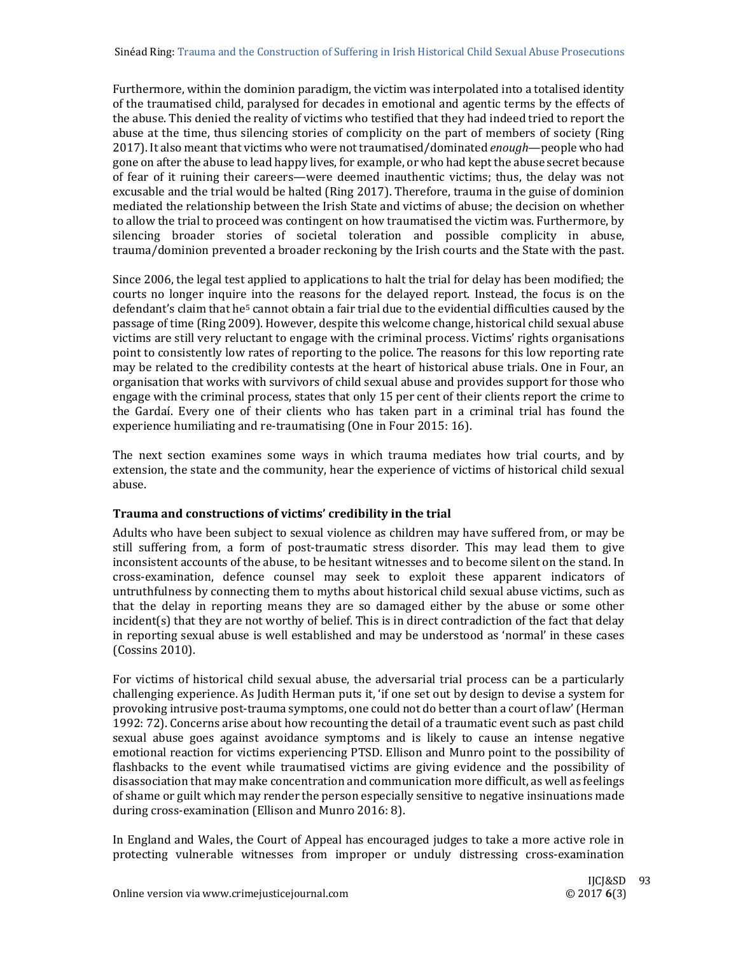Furthermore, within the dominion paradigm, the victim was interpolated into a totalised identity of the traumatised child, paralysed for decades in emotional and agentic terms by the effects of the abuse. This denied the reality of victims who testified that they had indeed tried to report the abuse at the time, thus silencing stories of complicity on the part of members of society (Ring 2017). It also meant that victims who were not traumatised/dominated *enough*—people who had gone on after the abuse to lead happy lives, for example, or who had kept the abuse secret because of fear of it ruining their careers—were deemed inauthentic victims; thus, the delay was not excusable and the trial would be halted (Ring 2017). Therefore, trauma in the guise of dominion mediated the relationship between the Irish State and victims of abuse; the decision on whether to allow the trial to proceed was contingent on how traumatised the victim was. Furthermore, by silencing broader stories of societal toleration and possible complicity in abuse, trauma/dominion prevented a broader reckoning by the Irish courts and the State with the past.

Since 2006, the legal test applied to applications to halt the trial for delay has been modified; the courts no longer inquire into the reasons for the delayed report. Instead, the focus is on the defendant's claim that he<sup>5</sup> cannot obtain a fair trial due to the evidential difficulties caused by the passage of time (Ring 2009). However, despite this welcome change, historical child sexual abuse victims are still very reluctant to engage with the criminal process. Victims' rights organisations point to consistently low rates of reporting to the police. The reasons for this low reporting rate may be related to the credibility contests at the heart of historical abuse trials. One in Four, an organisation that works with survivors of child sexual abuse and provides support for those who engage with the criminal process, states that only 15 per cent of their clients report the crime to the Gardaí. Every one of their clients who has taken part in a criminal trial has found the experience humiliating and re-traumatising (One in Four 2015: 16).

The next section examines some ways in which trauma mediates how trial courts, and by extension, the state and the community, hear the experience of victims of historical child sexual abuse. 

# **Trauma and constructions of victims' credibility in the trial**

Adults who have been subject to sexual violence as children may have suffered from, or may be still suffering from, a form of post-traumatic stress disorder. This may lead them to give inconsistent accounts of the abuse, to be hesitant witnesses and to become silent on the stand. In cross‐examination, defence counsel may seek to exploit these apparent indicators of untruthfulness by connecting them to myths about historical child sexual abuse victims, such as that the delay in reporting means they are so damaged either by the abuse or some other  $incident(s)$  that they are not worthy of belief. This is in direct contradiction of the fact that delay in reporting sexual abuse is well established and may be understood as 'normal' in these cases (Cossins 2010). 

For victims of historical child sexual abuse, the adversarial trial process can be a particularly challenging experience. As Judith Herman puts it, 'if one set out by design to devise a system for provoking intrusive post-trauma symptoms, one could not do better than a court of law' (Herman 1992: 72). Concerns arise about how recounting the detail of a traumatic event such as past child sexual abuse goes against avoidance symptoms and is likely to cause an intense negative emotional reaction for victims experiencing PTSD. Ellison and Munro point to the possibility of flashbacks to the event while traumatised victims are giving evidence and the possibility of disassociation that may make concentration and communication more difficult, as well as feelings of shame or guilt which may render the person especially sensitive to negative insinuations made during cross-examination (Ellison and Munro 2016: 8).

In England and Wales, the Court of Appeal has encouraged judges to take a more active role in protecting vulnerable witnesses from improper or unduly distressing cross-examination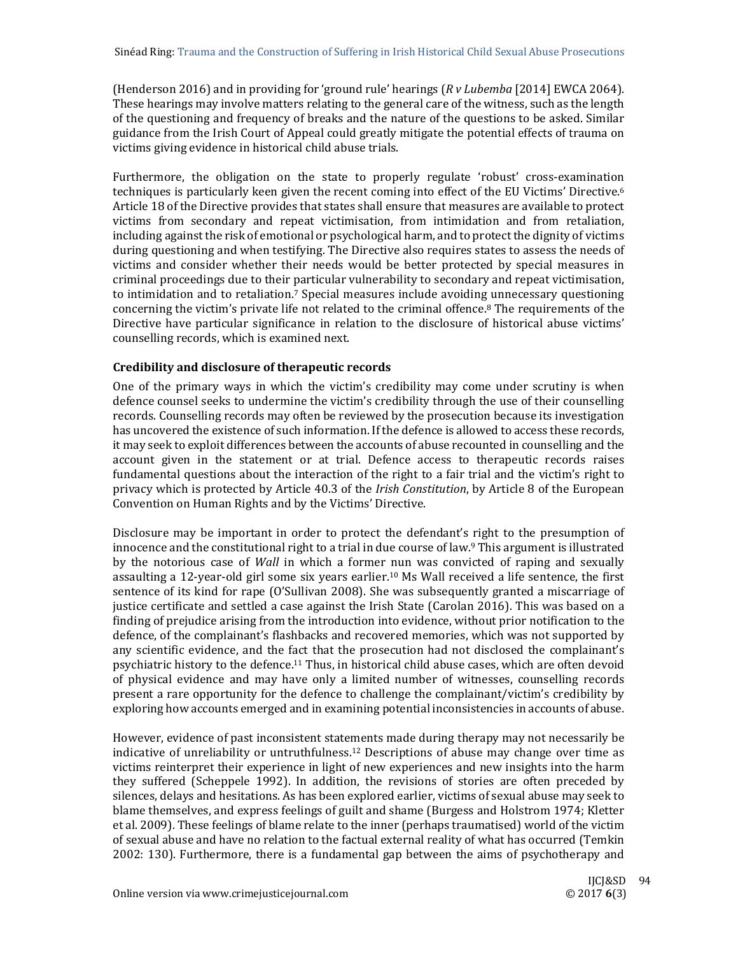(Henderson 2016) and in providing for 'ground rule' hearings (*R v Lubemba* [2014] EWCA 2064). These hearings may involve matters relating to the general care of the witness, such as the length of the questioning and frequency of breaks and the nature of the questions to be asked. Similar guidance from the Irish Court of Appeal could greatly mitigate the potential effects of trauma on victims giving evidence in historical child abuse trials.

Furthermore, the obligation on the state to properly regulate 'robust' cross-examination techniques is particularly keen given the recent coming into effect of the EU Victims' Directive.<sup>6</sup> Article 18 of the Directive provides that states shall ensure that measures are available to protect victims from secondary and repeat victimisation, from intimidation and from retaliation, including against the risk of emotional or psychological harm, and to protect the dignity of victims during questioning and when testifying. The Directive also requires states to assess the needs of victims and consider whether their needs would be better protected by special measures in criminal proceedings due to their particular vulnerability to secondary and repeat victimisation, to intimidation and to retaliation.<sup>7</sup> Special measures include avoiding unnecessary questioning concerning the victim's private life not related to the criminal offence.<sup>8</sup> The requirements of the Directive have particular significance in relation to the disclosure of historical abuse victims' counselling records, which is examined next.

# **Credibility and disclosure of therapeutic records**

One of the primary ways in which the victim's credibility may come under scrutiny is when defence counsel seeks to undermine the victim's credibility through the use of their counselling records. Counselling records may often be reviewed by the prosecution because its investigation has uncovered the existence of such information. If the defence is allowed to access these records, it may seek to exploit differences between the accounts of abuse recounted in counselling and the account given in the statement or at trial. Defence access to therapeutic records raises fundamental questions about the interaction of the right to a fair trial and the victim's right to privacy which is protected by Article 40.3 of the *Irish Constitution*, by Article 8 of the European Convention on Human Rights and by the Victims' Directive.

Disclosure may be important in order to protect the defendant's right to the presumption of innocence and the constitutional right to a trial in due course of law.<sup>9</sup> This argument is illustrated by the notorious case of *Wall* in which a former nun was convicted of raping and sexually assaulting a 12-year-old girl some six years earlier.<sup>10</sup> Ms Wall received a life sentence, the first sentence of its kind for rape (O'Sullivan 2008). She was subsequently granted a miscarriage of justice certificate and settled a case against the Irish State (Carolan 2016). This was based on a finding of prejudice arising from the introduction into evidence, without prior notification to the defence, of the complainant's flashbacks and recovered memories, which was not supported by any scientific evidence, and the fact that the prosecution had not disclosed the complainant's psychiatric history to the defence.<sup>11</sup> Thus, in historical child abuse cases, which are often devoid of physical evidence and may have only a limited number of witnesses, counselling records present a rare opportunity for the defence to challenge the complainant/victim's credibility by exploring how accounts emerged and in examining potential inconsistencies in accounts of abuse.

However, evidence of past inconsistent statements made during therapy may not necessarily be indicative of unreliability or untruthfulness.<sup>12</sup> Descriptions of abuse may change over time as victims reinterpret their experience in light of new experiences and new insights into the harm they suffered (Scheppele 1992). In addition, the revisions of stories are often preceded by silences, delays and hesitations. As has been explored earlier, victims of sexual abuse may seek to blame themselves, and express feelings of guilt and shame (Burgess and Holstrom 1974; Kletter et al. 2009). These feelings of blame relate to the inner (perhaps traumatised) world of the victim of sexual abuse and have no relation to the factual external reality of what has occurred (Temkin 2002: 130). Furthermore, there is a fundamental gap between the aims of psychotherapy and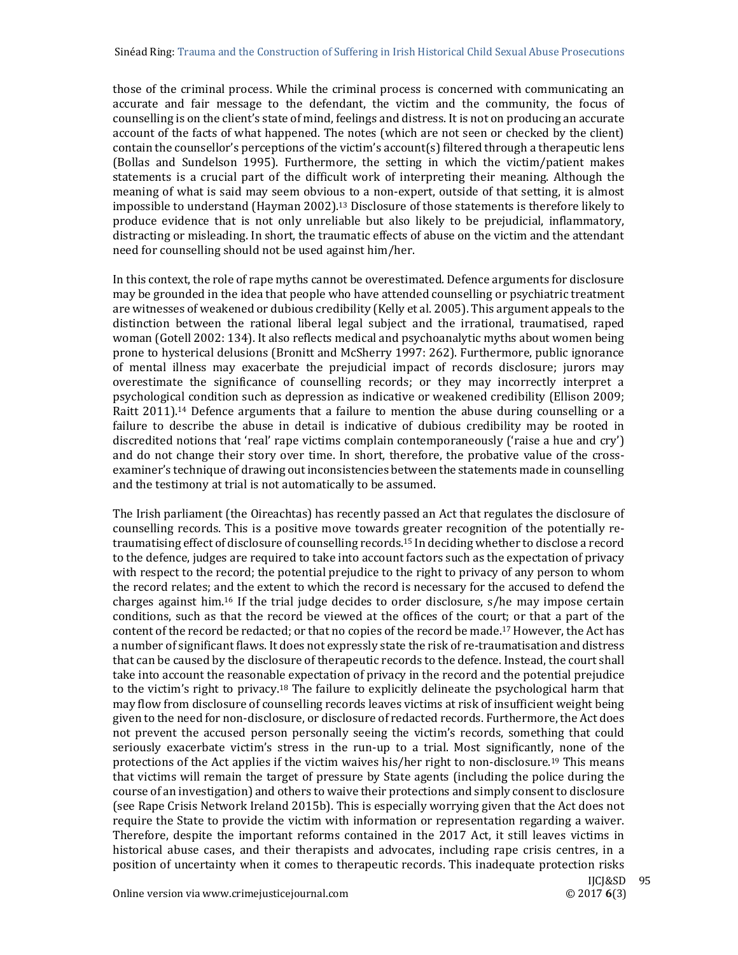those of the criminal process. While the criminal process is concerned with communicating an accurate and fair message to the defendant, the victim and the community, the focus of counselling is on the client's state of mind, feelings and distress. It is not on producing an accurate account of the facts of what happened. The notes (which are not seen or checked by the client) contain the counsellor's perceptions of the victim's account(s) filtered through a therapeutic lens (Bollas and Sundelson 1995). Furthermore, the setting in which the victim/patient makes statements is a crucial part of the difficult work of interpreting their meaning. Although the meaning of what is said may seem obvious to a non-expert, outside of that setting, it is almost impossible to understand  $(Hayman 2002)$ .<sup>13</sup> Disclosure of those statements is therefore likely to produce evidence that is not only unreliable but also likely to be prejudicial, inflammatory, distracting or misleading. In short, the traumatic effects of abuse on the victim and the attendant need for counselling should not be used against him/her.

In this context, the role of rape myths cannot be overestimated. Defence arguments for disclosure may be grounded in the idea that people who have attended counselling or psychiatric treatment are witnesses of weakened or dubious credibility (Kelly et al. 2005). This argument appeals to the distinction between the rational liberal legal subject and the irrational, traumatised, raped woman (Gotell 2002: 134). It also reflects medical and psychoanalytic myths about women being prone to hysterical delusions (Bronitt and McSherry 1997: 262). Furthermore, public ignorance of mental illness may exacerbate the prejudicial impact of records disclosure; jurors may overestimate the significance of counselling records; or they may incorrectly interpret a psychological condition such as depression as indicative or weakened credibility (Ellison 2009; Raitt  $2011$ <sup>14</sup> Defence arguments that a failure to mention the abuse during counselling or a failure to describe the abuse in detail is indicative of dubious credibility may be rooted in discredited notions that 'real' rape victims complain contemporaneously ('raise a hue and  $\text{cry'}$ ) and do not change their story over time. In short, therefore, the probative value of the crossexaminer's technique of drawing out inconsistencies between the statements made in counselling and the testimony at trial is not automatically to be assumed.

The Irish parliament (the Oireachtas) has recently passed an Act that regulates the disclosure of counselling records. This is a positive move towards greater recognition of the potentially retraumatising effect of disclosure of counselling records.<sup>15</sup> In deciding whether to disclose a record to the defence, judges are required to take into account factors such as the expectation of privacy with respect to the record; the potential prejudice to the right to privacy of any person to whom the record relates; and the extent to which the record is necessary for the accused to defend the charges against him.<sup>16</sup> If the trial judge decides to order disclosure,  $s/h$ e may impose certain conditions, such as that the record be viewed at the offices of the court; or that a part of the content of the record be redacted; or that no copies of the record be made.<sup>17</sup> However, the Act has a number of significant flaws. It does not expressly state the risk of re-traumatisation and distress that can be caused by the disclosure of therapeutic records to the defence. Instead, the court shall take into account the reasonable expectation of privacy in the record and the potential prejudice to the victim's right to privacy.<sup>18</sup> The failure to explicitly delineate the psychological harm that may flow from disclosure of counselling records leaves victims at risk of insufficient weight being given to the need for non-disclosure, or disclosure of redacted records. Furthermore, the Act does not prevent the accused person personally seeing the victim's records, something that could seriously exacerbate victim's stress in the run-up to a trial. Most significantly, none of the protections of the Act applies if the victim waives his/her right to non-disclosure.<sup>19</sup> This means that victims will remain the target of pressure by State agents (including the police during the course of an investigation) and others to waive their protections and simply consent to disclosure (see Rape Crisis Network Ireland 2015b). This is especially worrying given that the Act does not require the State to provide the victim with information or representation regarding a waiver. Therefore, despite the important reforms contained in the 2017 Act, it still leaves victims in historical abuse cases, and their therapists and advocates, including rape crisis centres, in a position of uncertainty when it comes to therapeutic records. This inadequate protection risks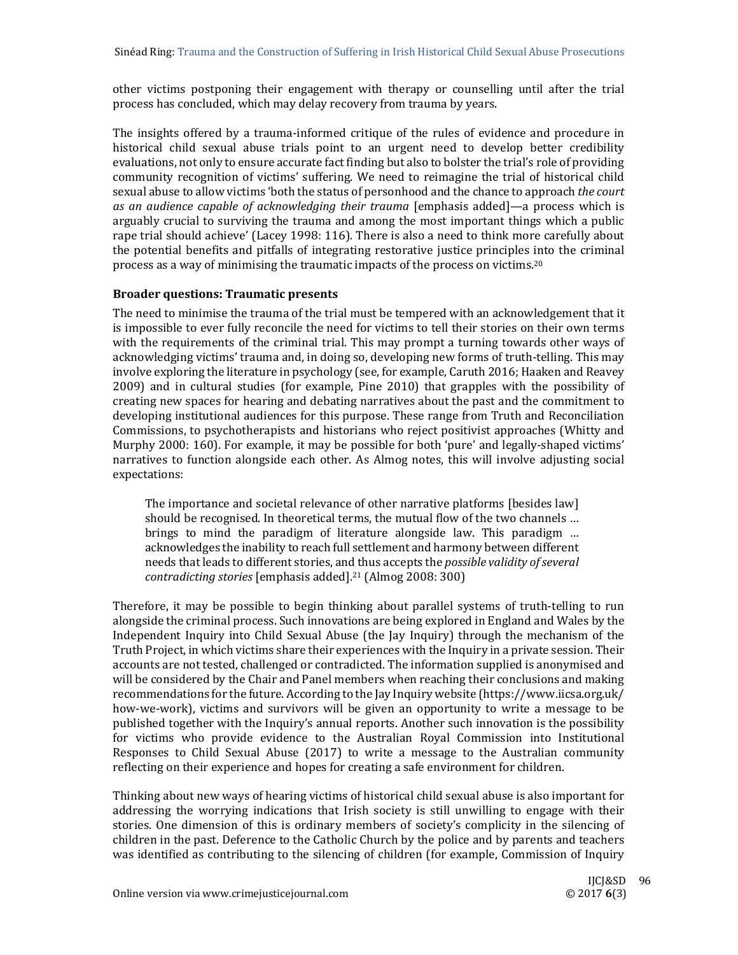other victims postponing their engagement with therapy or counselling until after the trial process has concluded, which may delay recovery from trauma by years.

The insights offered by a trauma-informed critique of the rules of evidence and procedure in historical child sexual abuse trials point to an urgent need to develop better credibility evaluations, not only to ensure accurate fact finding but also to bolster the trial's role of providing community recognition of victims' suffering. We need to reimagine the trial of historical child sexual abuse to allow victims 'both the status of personhood and the chance to approach *the court as an audience capable of acknowledging their trauma* [emphasis added]—a process which is arguably crucial to surviving the trauma and among the most important things which a public rape trial should achieve' (Lacey 1998: 116). There is also a need to think more carefully about the potential benefits and pitfalls of integrating restorative justice principles into the criminal process as a way of minimising the traumatic impacts of the process on victims.<sup>20</sup>

#### **Broader questions: Traumatic presents**

The need to minimise the trauma of the trial must be tempered with an acknowledgement that it is impossible to ever fully reconcile the need for victims to tell their stories on their own terms with the requirements of the criminal trial. This may prompt a turning towards other ways of acknowledging victims' trauma and, in doing so, developing new forms of truth-telling. This may involve exploring the literature in psychology (see, for example, Caruth 2016; Haaken and Reavey  $2009$ ) and in cultural studies (for example, Pine  $2010$ ) that grapples with the possibility of creating new spaces for hearing and debating narratives about the past and the commitment to developing institutional audiences for this purpose. These range from Truth and Reconciliation Commissions, to psychotherapists and historians who reject positivist approaches (Whitty and Murphy 2000: 160). For example, it may be possible for both 'pure' and legally-shaped victims' narratives to function alongside each other. As Almog notes, this will involve adjusting social expectations: 

The importance and societal relevance of other narrative platforms [besides law] should be recognised. In theoretical terms, the mutual flow of the two channels ... brings to mind the paradigm of literature alongside law. This paradigm ... acknowledges the inability to reach full settlement and harmony between different needs that leads to different stories, and thus accepts the *possible validity ofseveral contradicting stories* [emphasis added].<sup>21</sup> (Almog 2008: 300)

Therefore, it may be possible to begin thinking about parallel systems of truth-telling to run alongside the criminal process. Such innovations are being explored in England and Wales by the Independent Inquiry into Child Sexual Abuse (the Jay Inquiry) through the mechanism of the Truth Project, in which victims share their experiences with the Inquiry in a private session. Their accounts are not tested, challenged or contradicted. The information supplied is anonymised and will be considered by the Chair and Panel members when reaching their conclusions and making recommendations for the future. According to the Jay Inquiry website (https://www.iicsa.org.uk/ how-we-work), victims and survivors will be given an opportunity to write a message to be published together with the Inquiry's annual reports. Another such innovation is the possibility for victims who provide evidence to the Australian Royal Commission into Institutional Responses to Child Sexual Abuse  $(2017)$  to write a message to the Australian community reflecting on their experience and hopes for creating a safe environment for children.

Thinking about new ways of hearing victims of historical child sexual abuse is also important for addressing the worrying indications that Irish society is still unwilling to engage with their stories. One dimension of this is ordinary members of society's complicity in the silencing of children in the past. Deference to the Catholic Church by the police and by parents and teachers was identified as contributing to the silencing of children (for example, Commission of Inquiry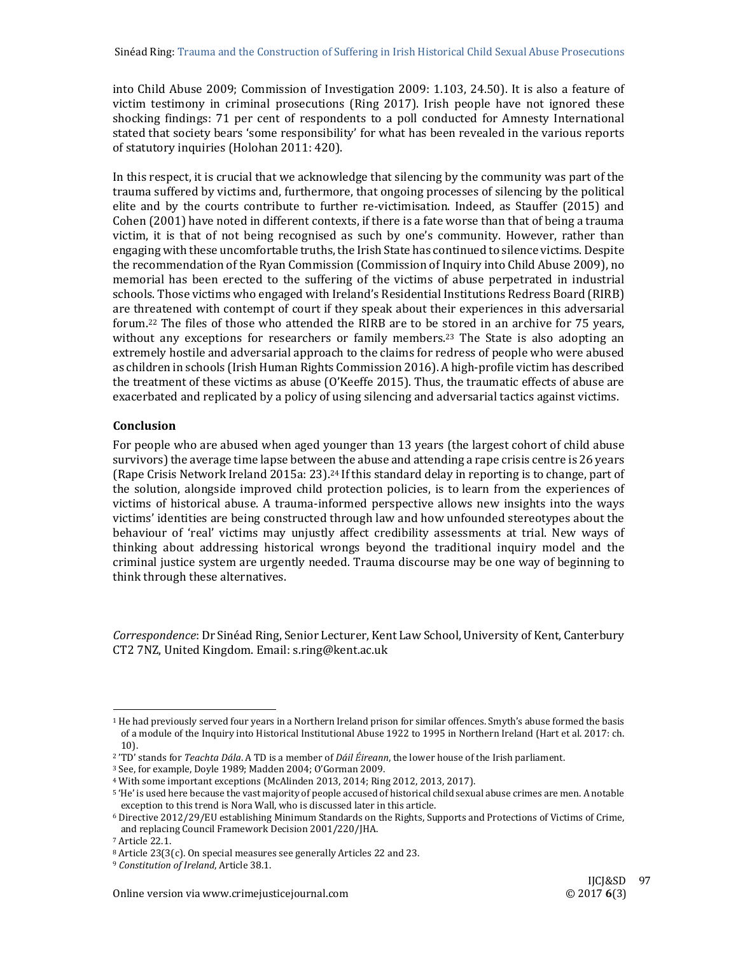into Child Abuse 2009; Commission of Investigation  $2009: 1.103$ ,  $24.50$ ). It is also a feature of victim testimony in criminal prosecutions (Ring  $2017$ ). Irish people have not ignored these shocking findings: 71 per cent of respondents to a poll conducted for Amnesty International stated that society bears 'some responsibility' for what has been revealed in the various reports of statutory inquiries (Holohan 2011: 420).

In this respect, it is crucial that we acknowledge that silencing by the community was part of the trauma suffered by victims and, furthermore, that ongoing processes of silencing by the political elite and by the courts contribute to further re-victimisation. Indeed, as Stauffer (2015) and Cohen  $(2001)$  have noted in different contexts, if there is a fate worse than that of being a trauma victim, it is that of not being recognised as such by one's community. However, rather than engaging with these uncomfortable truths, the Irish State has continued to silence victims. Despite the recommendation of the Ryan Commission (Commission of Inquiry into Child Abuse 2009), no memorial has been erected to the suffering of the victims of abuse perpetrated in industrial schools. Those victims who engaged with Ireland's Residential Institutions Redress Board (RIRB) are threatened with contempt of court if they speak about their experiences in this adversarial forum.<sup>22</sup> The files of those who attended the RIRB are to be stored in an archive for 75 years, without any exceptions for researchers or family members.<sup>23</sup> The State is also adopting an extremely hostile and adversarial approach to the claims for redress of people who were abused as children in schools (Irish Human Rights Commission 2016). A high-profile victim has described the treatment of these victims as abuse  $(O'$ Keeffe 2015). Thus, the traumatic effects of abuse are exacerbated and replicated by a policy of using silencing and adversarial tactics against victims.

#### **Conclusion**

For people who are abused when aged younger than 13 years (the largest cohort of child abuse survivors) the average time lapse between the abuse and attending a rape crisis centre is 26 years (Rape Crisis Network Ireland 2015a: 23).<sup>24</sup> If this standard delay in reporting is to change, part of the solution, alongside improved child protection policies, is to learn from the experiences of victims of historical abuse. A trauma-informed perspective allows new insights into the ways victims' identities are being constructed through law and how unfounded stereotypes about the behaviour of 'real' victims may unjustly affect credibility assessments at trial. New ways of thinking about addressing historical wrongs beyond the traditional inquiry model and the criminal justice system are urgently needed. Trauma discourse may be one way of beginning to think through these alternatives.

Correspondence: Dr Sinéad Ring, Senior Lecturer, Kent Law School, University of Kent, Canterbury CT2 7NZ, United Kingdom. Email: s.ring@kent.ac.uk 

 

<sup>&</sup>lt;sup>1</sup> He had previously served four years in a Northern Ireland prison for similar offences. Smyth's abuse formed the basis of a module of the Inquiry into Historical Institutional Abuse 1922 to 1995 in Northern Ireland (Hart et al. 2017: ch. 10). 

<sup>&</sup>lt;sup>2</sup> 'TD' stands for *Teachta Dála*. A TD is a member of *Dáil Éireann*, the lower house of the Irish parliament.

<sup>&</sup>lt;sup>3</sup> See, for example, Doyle 1989; Madden 2004; O'Gorman 2009.

<sup>&</sup>lt;sup>4</sup> With some important exceptions (McAlinden 2013, 2014; Ring 2012, 2013, 2017).

<sup>&</sup>lt;sup>5</sup> 'He' is used here because the vast majority of people accused of historical child sexual abuse crimes are men. A notable exception to this trend is Nora Wall, who is discussed later in this article.

<sup>&</sup>lt;sup>6</sup> Directive 2012/29/EU establishing Minimum Standards on the Rights, Supports and Protections of Victims of Crime, and replacing Council Framework Decision 2001/220/JHA.

<sup>7</sup> Article 22.1. 

<sup>8</sup> Article 23(3(c). On special measures see generally Articles 22 and 23.

<sup>&</sup>lt;sup>9</sup> Constitution of Ireland, Article 38.1.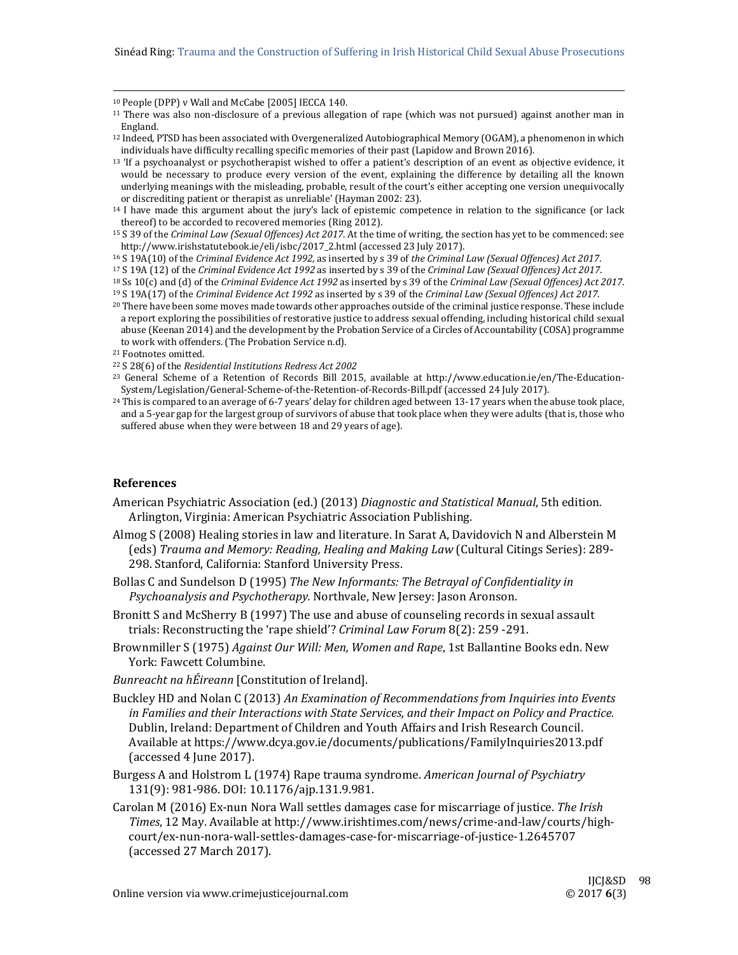<sup>10</sup> People (DPP) v Wall and McCabe [2005] IECCA 140.

- 12 Indeed, PTSD has been associated with Overgeneralized Autobiographical Memory (OGAM), a phenomenon in which individuals have difficulty recalling specific memories of their past (Lapidow and Brown 2016).
- $13$  'If a psychoanalyst or psychotherapist wished to offer a patient's description of an event as objective evidence, it would be necessary to produce every version of the event, explaining the difference by detailing all the known underlying meanings with the misleading, probable, result of the court's either accepting one version unequivocally or discrediting patient or therapist as unreliable' (Hayman 2002: 23).
- $14$  I have made this argument about the jury's lack of epistemic competence in relation to the significance (or lack thereof) to be accorded to recovered memories (Ring 2012).
- <sup>15</sup> S 39 of the *Criminal Law (Sexual Offences) Act 2017*. At the time of writing, the section has yet to be commenced: see http://www.irishstatutebook.ie/eli/isbc/2017\_2.html (accessed 23 July 2017).
- 16 S 19A(10) of the *Criminal Evidence Act 1992*, as inserted by s 39 of *the Criminal Law (Sexual Offences) Act 2017*.
- 17 S 19A (12) of the *Criminal Evidence Act 1992* as inserted by s 39 of the *Criminal Law (Sexual Offences) Act 2017*.
- 18 Ss 10(c) and (d) of the *Criminal Evidence Act 1992* as inserted by s 39 of the *Criminal Law (Sexual Offences) Act 2017*.
- 19 S 19A(17) of the *Criminal Evidence Act 1992* as inserted by s 39 of the *Criminal Law (Sexual Offences) Act 2017*. <sup>20</sup> There have been some moves made towards other approaches outside of the criminal justice response. These include a report exploring the possibilities of restorative justice to address sexual offending, including historical child sexual abuse (Keenan 2014) and the development by the Probation Service of a Circles of Accountability (COSA) programme to work with offenders. (The Probation Service n.d).
- <sup>21</sup> Footnotes omitted.
- 22 S 28(6) of the *Residential Institutions Redress Act 2002*
- <sup>23</sup> General Scheme of a Retention of Records Bill 2015, available at http://www.education.ie/en/The-Education-System/Legislation/General-Scheme-of-the-Retention-of-Records-Bill.pdf (accessed 24 July 2017).
- $^{24}$  This is compared to an average of 6-7 years' delay for children aged between 13-17 years when the abuse took place, and a 5-year gap for the largest group of survivors of abuse that took place when they were adults (that is, those who suffered abuse when they were between 18 and 29 years of age).

#### **References**

- American Psychiatric Association (ed.) (2013) *Diagnostic and Statistical Manual*, 5th edition*.* Arlington, Virginia: American Psychiatric Association Publishing.
- Almog S (2008) Healing stories in law and literature. In Sarat A, Davidovich N and Alberstein M (eds) *Trauma and Memory: Reading, Healing and Making Law* (Cultural Citings Series): 289‐ 298. Stanford, California: Stanford University Press.
- Bollas C and Sundelson D (1995) *The New Informants: The Betrayal of Confidentiality in Psychoanalysis and Psychotherapy.* Northvale, New Jersey: Jason Aronson.
- Bronitt S and McSherry B (1997) The use and abuse of counseling records in sexual assault trials: Reconstructing the 'rape shield'? *Criminal Law Forum* 8(2): 259 -291.
- Brownmiller S (1975) *Against Our Will: Men, Women and Rape*, 1st Ballantine Books edn. New York: Fawcett Columbine.
- *Bunreacht na hÉireann* [Constitution of Ireland].
- Buckley HD and Nolan C (2013) *An Examination of Recommendations from Inquiries into Events in Families and their Interactions with State Services, and their Impact on Policy and Practice.* Dublin, Ireland: Department of Children and Youth Affairs and Irish Research Council. Available at https://www.dcya.gov.ie/documents/publications/FamilyInquiries2013.pdf (accessed 4 June 2017).
- Burgess A and Holstrom L (1974) Rape trauma syndrome. *American Journal of Psychiatry* 131(9): 981‐986. DOI: 10.1176/ajp.131.9.981.
- Carolan M (2016) Ex‐nun Nora Wall settles damages case for miscarriage of justice. *The Irish Times*, 12 May. Available at http://www.irishtimes.com/news/crime-and-law/courts/highcourt/ex‐nun‐nora‐wall‐settles‐damages‐case‐for‐miscarriage‐of‐justice‐1.2645707 (accessed 27 March 2017).

 $11$  There was also non-disclosure of a previous allegation of rape (which was not pursued) against another man in England.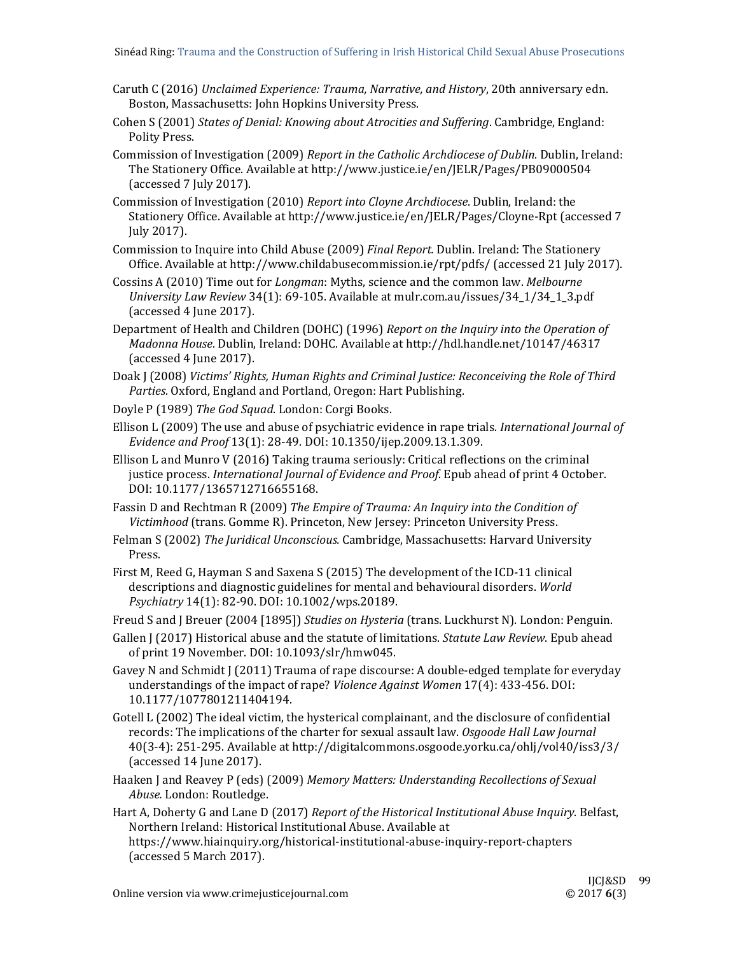- Caruth C (2016) *Unclaimed Experience: Trauma, Narrative, and History*, 20th anniversary edn. Boston, Massachusetts: John Hopkins University Press.
- Cohen S (2001) *States of Denial: Knowing about Atrocities and Suffering*. Cambridge, England: Polity Press.
- Commission of Investigation (2009) *Report in the Catholic Archdiocese of Dublin*. Dublin, Ireland: The Stationery Office. Available at http://www.justice.ie/en/JELR/Pages/PB09000504 (accessed 7 July 2017).
- Commission of Investigation (2010) *Report into Cloyne Archdiocese*. Dublin, Ireland: the Stationery Office. Available at http://www.justice.ie/en/JELR/Pages/Cloyne-Rpt (accessed 7 July 2017).
- Commission to Inquire into Child Abuse (2009) *Final Report.* Dublin. Ireland: The Stationery Office. Available at http://www.childabusecommission.ie/rpt/pdfs/ (accessed 21 July 2017).
- Cossins A (2010) Time out for *Longman*: Myths, science and the common law. *Melbourne University Law Review* 34(1): 69‐105. Available at mulr.com.au/issues/34\_1/34\_1\_3.pdf (accessed 4 June 2017).
- Department of Health and Children (DOHC) (1996) *Report on the Inquiry into the Operation of Madonna House*. Dublin, Ireland: DOHC. Available at http://hdl.handle.net/10147/46317 (accessed 4 June 2017).
- Doak J (2008) *Victims' Rights, Human Rights and Criminal Justice: Reconceiving the Role of Third* Parties. Oxford, England and Portland, Oregon: Hart Publishing.
- Doyle P (1989) The God Squad. London: Corgi Books.
- Ellison L (2009) The use and abuse of psychiatric evidence in rape trials. *International Journal of Evidence and Proof* 13(1): 28‐49. DOI: 10.1350/ijep.2009.13.1.309.
- Ellison L and Munro V (2016) Taking trauma seriously: Critical reflections on the criminal justice process. *International Journal of Evidence and Proof*. Epub ahead of print 4 October. DOI: 10.1177/1365712716655168.
- Fassin D and Rechtman R (2009) *The Empire of Trauma: An Inquiry into the Condition of* Victimhood (trans. Gomme R). Princeton, New Jersey: Princeton University Press.
- Felman S (2002) The *Juridical Unconscious.* Cambridge, Massachusetts: Harvard University Press.
- First M, Reed G, Hayman S and Saxena S (2015) The development of the ICD-11 clinical descriptions and diagnostic guidelines for mental and behavioural disorders. *World Psychiatry* 14(1): 82‐90. DOI: 10.1002/wps.20189.

Freud S and J Breuer (2004 [1895]) *Studies on Hysteria* (trans. Luckhurst N). London: Penguin.

- Gallen J (2017) Historical abuse and the statute of limitations. *Statute Law Review*. Epub ahead of print 19 November. DOI: 10.1093/slr/hmw045.
- Gavey N and Schmidt J (2011) Trauma of rape discourse: A double-edged template for everyday understandings of the impact of rape? *Violence Against Women* 17(4): 433-456. DOI: 10.1177/1077801211404194.
- Gotell L (2002) The ideal victim, the hysterical complainant, and the disclosure of confidential records: The implications of the charter for sexual assault law. *Osgoode Hall Law Journal* 40(3-4): 251-295. Available at http://digitalcommons.osgoode.yorku.ca/ohlj/vol40/iss3/3/ (accessed 14 June 2017).
- Haaken *J* and Reavey P (eds) (2009) Memory Matters: *Understanding Recollections of Sexual* Abuse. London: Routledge.
- Hart A, Doherty G and Lane D (2017) *Report of the Historical Institutional Abuse Inquiry*. Belfast, Northern Ireland: Historical Institutional Abuse. Available at https://www.hiainquiry.org/historical‐institutional‐abuse‐inquiry‐report‐chapters (accessed 5 March 2017).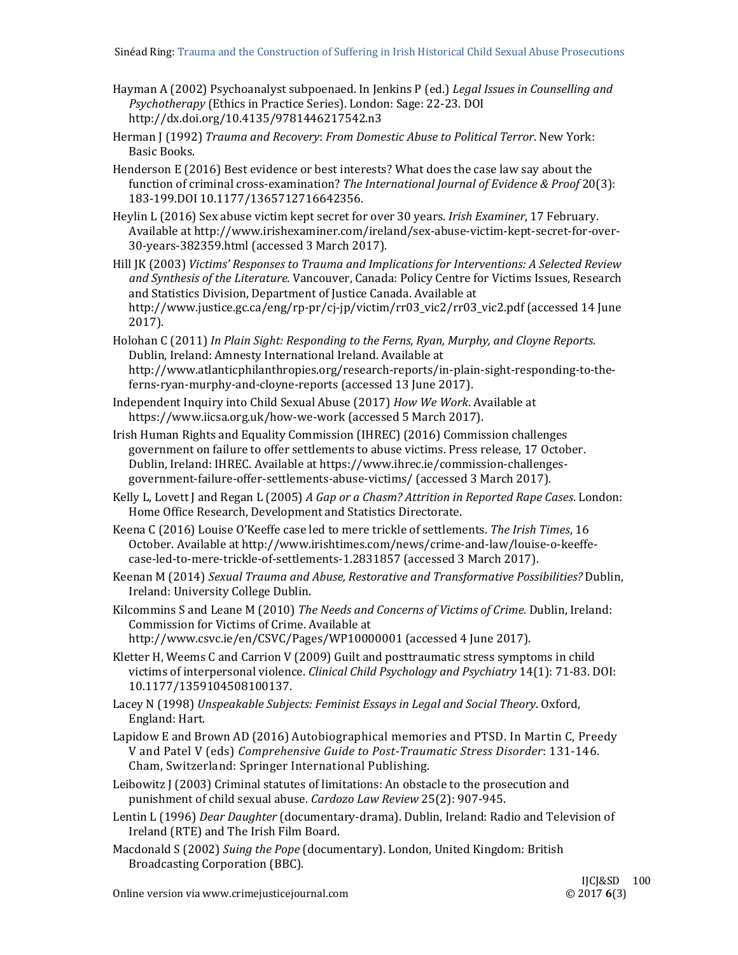- Hayman A (2002) Psychoanalyst subpoenaed. In Jenkins P (ed.) *Legal Issues in Counselling and Psychotherapy* (Ethics in Practice Series). London: Sage: 22-23. DOI http://dx.doi.org/10.4135/9781446217542.n3
- Herman J (1992) *Trauma and Recovery*: *From Domestic Abuse to Political Terror*. New York: Basic Books.
- Henderson  $E(2016)$  Best evidence or best interests? What does the case law say about the function of criminal cross‐examination? *The International Journal of Evidence & Proof* 20(3): 183‐199.DOI 10.1177/1365712716642356.
- Heylin L (2016) Sex abuse victim kept secret for over 30 years. *Irish Examiner*, 17 February. Available at http://www.irishexaminer.com/ireland/sex-abuse-victim-kept-secret-for-over-30-years-382359.html (accessed 3 March 2017).
- Hill JK (2003) *Victims' Responses to Trauma and Implications for Interventions: A Selected Review and Synthesis of the Literature.* Vancouver, Canada: Policy Centre for Victims Issues, Research and Statistics Division, Department of Justice Canada. Available at http://www.justice.gc.ca/eng/rp-pr/cj-jp/victim/rr03\_vic2/rr03\_vic2.pdf (accessed 14 June 2017).
- Holohan C (2011) *In Plain Sight: Responding to the Ferns, Ryan, Murphy, and Cloyne Reports*. Dublin, Ireland: Amnesty International Ireland. Available at http://www.atlanticphilanthropies.org/research-reports/in-plain-sight-responding-to-theferns-ryan-murphy-and-cloyne-reports (accessed 13 June 2017).
- Independent Inquiry into Child Sexual Abuse (2017) *How We Work*. Available at https://www.iicsa.org.uk/how-we-work (accessed 5 March 2017).
- Irish Human Rights and Equality Commission (IHREC) (2016) Commission challenges government on failure to offer settlements to abuse victims. Press release, 17 October. Dublin, Ireland: IHREC. Available at https://www.ihrec.ie/commission-challengesgovernment-failure-offer-settlements-abuse-victims/ (accessed 3 March 2017).
- Kelly L, Lovett J and Regan L (2005) *A Gap or a Chasm? Attrition in Reported Rape Cases*. London: Home Office Research, Development and Statistics Directorate.
- Keena C (2016) Louise O'Keeffe case led to mere trickle of settlements. The Irish Times, 16 October. Available at http://www.irishtimes.com/news/crime-and-law/louise-o-keeffecase‐led‐to‐mere‐trickle‐of‐settlements‐1.2831857 (accessed 3 March 2017).
- Keenan M (2014) *Sexual Trauma and Abuse, Restorative and Transformative Possibilities?* Dublin, Ireland: University College Dublin.
- Kilcommins S and Leane M (2010) *The Needs and Concerns of Victims of Crime.* Dublin, Ireland: Commission for Victims of Crime. Available at http://www.csvc.ie/en/CSVC/Pages/WP10000001 (accessed 4 June 2017).
- Kletter H, Weems C and Carrion V (2009) Guilt and posttraumatic stress symptoms in child victims of interpersonal violence. *Clinical Child Psychology and Psychiatry* 14(1): 71-83. DOI: 10.1177/1359104508100137.
- Lacey N (1998) *Unspeakable Subjects: Feminist Essays in Legal and Social Theory*. Oxford, England: Hart.
- Lapidow E and Brown AD (2016) Autobiographical memories and PTSD. In Martin C, Preedy V and Patel V (eds) *Comprehensive Guide to Post‐Traumatic Stress Disorder*: 131‐146. Cham, Switzerland: Springer International Publishing.
- Leibowitz  $\int$  (2003) Criminal statutes of limitations: An obstacle to the prosecution and punishment of child sexual abuse. *Cardozo Law Review* 25(2): 907-945.
- Lentin L (1996) *Dear Daughter* (documentary-drama). Dublin, Ireland: Radio and Television of Ireland (RTE) and The Irish Film Board.
- Macdonald S (2002) Suing the Pope (documentary). London, United Kingdom: British Broadcasting Corporation (BBC).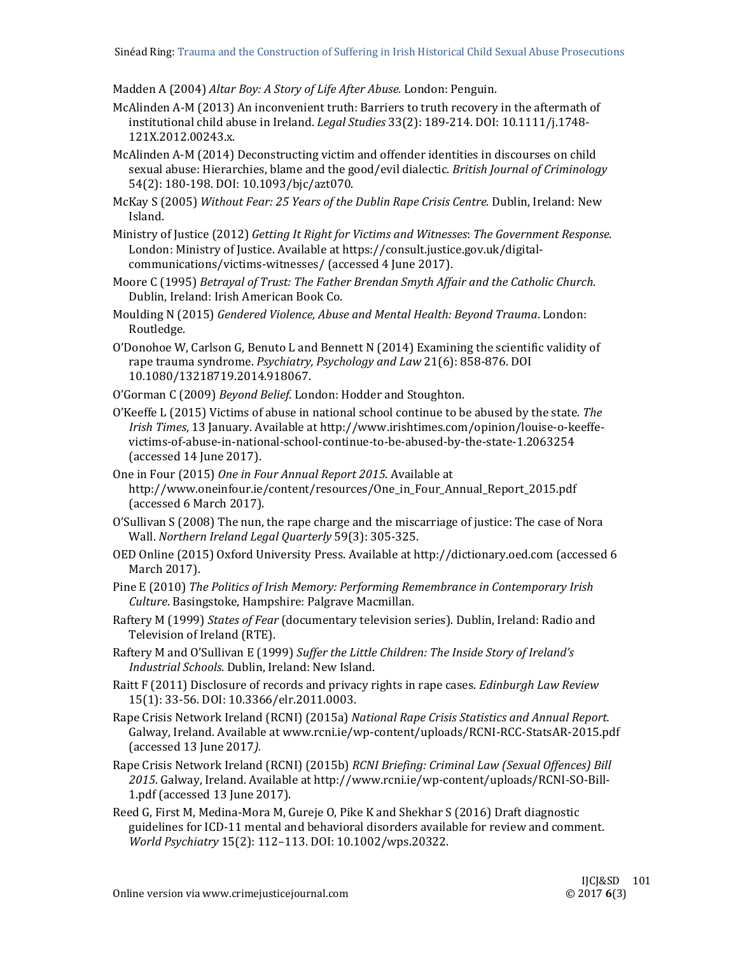Madden A (2004) *Altar Boy: A Story of Life After Abuse.* London: Penguin. 

- McAlinden A-M (2013) An inconvenient truth: Barriers to truth recovery in the aftermath of institutional child abuse in Ireland. *Legal Studies* 33(2): 189-214. DOI: 10.1111/j.1748-121X.2012.00243.x.
- McAlinden A-M (2014) Deconstructing victim and offender identities in discourses on child sexual abuse: Hierarchies, blame and the good/evil dialectic. *British Journal of Criminology* 54(2): 180-198. DOI: 10.1093/bjc/azt070.
- McKay S (2005) *Without Fear: 25 Years of the Dublin Rape Crisis Centre.* Dublin, Ireland: New Island.
- Ministry of Justice (2012) *Getting It Right for Victims and Witnesses*: *The Government Response.* London: Ministry of Justice. Available at https://consult.justice.gov.uk/digitalcommunications/victims-witnesses/ (accessed 4 June 2017).
- Moore C (1995) *Betrayal of Trust: The Father Brendan Smyth Affair and the Catholic Church*. Dublin, Ireland: Irish American Book Co.
- Moulding N (2015) *Gendered Violence, Abuse and Mental Health: Beyond Trauma*. London: Routledge.
- O'Donohoe W, Carlson G, Benuto L and Bennett N  $(2014)$  Examining the scientific validity of rape trauma syndrome. *Psychiatry, Psychology and Law* 21(6): 858-876. DOI 10.1080/13218719.2014.918067.
- O'Gorman C (2009) *Beyond Belief*. London: Hodder and Stoughton.
- O'Keeffe L (2015) Victims of abuse in national school continue to be abused by the state. The *Irish Times*, 13 January. Available at http://www.irishtimes.com/opinion/louise-o-keeffevictims‐of‐abuse‐in‐national‐school‐continue‐to‐be‐abused‐by‐the‐state‐1.2063254 (accessed 14 June 2017).
- One in Four (2015) One in Four Annual Report 2015. Available at http://www.oneinfour.ie/content/resources/One\_in\_Four\_Annual\_Report\_2015.pdf (accessed 6 March 2017).
- $O'S$ ullivan  $S(2008)$  The nun, the rape charge and the miscarriage of justice: The case of Nora Wall. *Northern Ireland Legal Quarterly* 59(3): 305‐325.
- OED Online (2015) Oxford University Press. Available at http://dictionary.oed.com (accessed 6 March 2017).
- Pine E (2010) *The Politics of Irish Memory: Performing Remembrance in Contemporary Irish Culture*. Basingstoke, Hampshire: Palgrave Macmillan.
- Raftery M (1999) *States of Fear* (documentary television series). Dublin, Ireland: Radio and Television of Ireland (RTE).
- Raftery M and O'Sullivan E (1999) *Suffer the Little Children: The Inside Story of Ireland's Industrial Schools*. Dublin, Ireland: New Island.
- Raitt F (2011) Disclosure of records and privacy rights in rape cases. *Edinburgh Law Review* 15(1): 33‐56. DOI: 10.3366/elr.2011.0003.
- Rape Crisis Network Ireland (RCNI) (2015a) *National Rape Crisis Statistics and Annual Report.* Galway, Ireland. Available at www.rcni.ie/wp-content/uploads/RCNI-RCC-StatsAR-2015.pdf (accessed 13 June 2017*).*
- Rape Crisis Network Ireland (RCNI) (2015b) *RCNI Briefing: Criminal Law (Sexual Offences) Bill* 2015. Galway, Ireland. Available at http://www.rcni.ie/wp-content/uploads/RCNI-SO-Bill-1.pdf (accessed 13 June 2017).
- Reed G, First M, Medina-Mora M, Gureje O, Pike K and Shekhar S (2016) Draft diagnostic guidelines for ICD-11 mental and behavioral disorders available for review and comment. *World Psychiatry* 15(2): 112–113. DOI: 10.1002/wps.20322.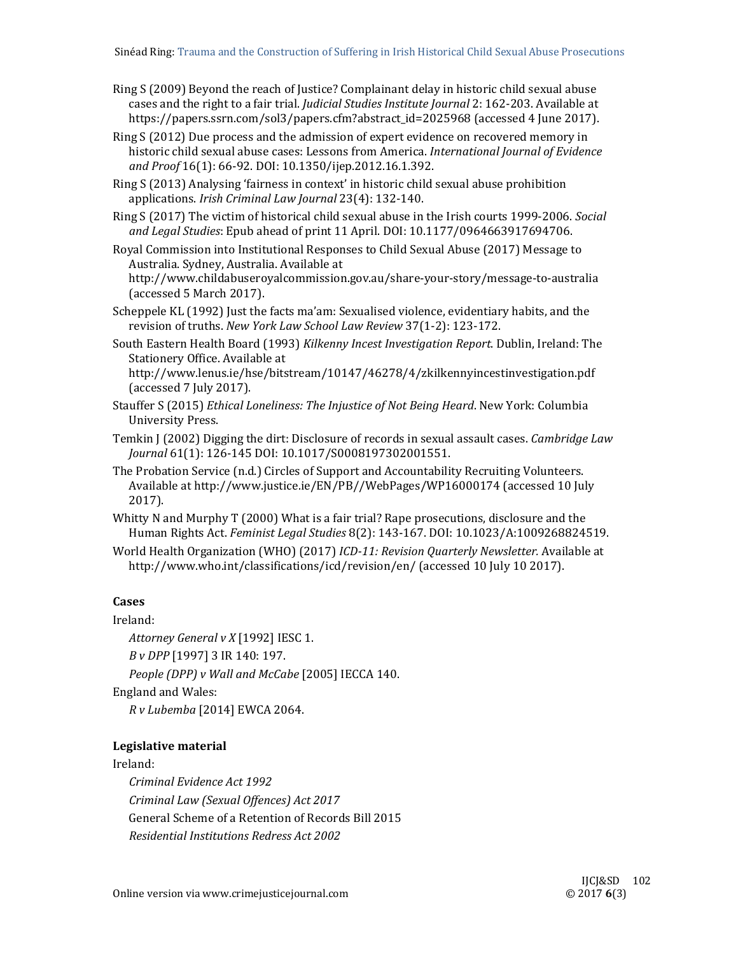Ring S (2009) Beyond the reach of Justice? Complainant delay in historic child sexual abuse cases and the right to a fair trial. *Judicial Studies Institute Journal* 2: 162-203. Available at https://papers.ssrn.com/sol3/papers.cfm?abstract\_id=2025968 (accessed 4 June 2017).

Ring  $S(2012)$  Due process and the admission of expert evidence on recovered memory in historic child sexual abuse cases: Lessons from America. *International Journal of Evidence and Proof* 16(1): 66‐92. DOI: 10.1350/ijep.2012.16.1.392. 

Ring S (2013) Analysing 'fairness in context' in historic child sexual abuse prohibition applications. *Irish Criminal Law Journal* 23(4): 132‐140. 

Ring S (2017) The victim of historical child sexual abuse in the Irish courts 1999-2006. *Social and Legal Studies*: Epub ahead of print 11 April. DOI: 10.1177/0964663917694706. 

Royal Commission into Institutional Responses to Child Sexual Abuse (2017) Message to Australia. Sydney, Australia. Available at

http://www.childabuseroyalcommission.gov.au/share‐your‐story/message‐to‐australia (accessed 5 March 2017).

Scheppele KL (1992) Just the facts ma'am: Sexualised violence, evidentiary habits, and the revision of truths. *New York Law School Law Review* 37(1-2): 123-172.

South Eastern Health Board (1993) *Kilkenny Incest Investigation Report*. Dublin, Ireland: The Stationery Office. Available at

http://www.lenus.ie/hse/bitstream/10147/46278/4/zkilkennyincestinvestigation.pdf (accessed 7 July 2017).

- Stauffer S (2015) *Ethical Loneliness: The Injustice of Not Being Heard*. New York: Columbia University Press.
- Temkin J (2002) Digging the dirt: Disclosure of records in sexual assault cases. *Cambridge Law Journal* 61(1): 126‐145 DOI: 10.1017/S0008197302001551.
- The Probation Service (n.d.) Circles of Support and Accountability Recruiting Volunteers. Available at http://www.justice.ie/EN/PB//WebPages/WP16000174 (accessed 10 July 2017).
- Whitty N and Murphy  $T(2000)$  What is a fair trial? Rape prosecutions, disclosure and the Human Rights Act. *Feminist Legal Studies* 8(2): 143‐167. DOI: 10.1023/A:1009268824519.
- World Health Organization (WHO) (2017) *ICD*-11: Revision Quarterly Newsletter. Available at http://www.who.int/classifications/icd/revision/en/ (accessed 10 July 10 2017).

# **Cases**

Ireland: 

*Attorney General v X* [1992] IESC 1. 

*B v DPP* [1997] 3 IR 140: 197. 

*People (DPP) v Wall and McCabe* [2005] IECCA 140. 

England and Wales:

*R v Lubemba* [2014] EWCA 2064. 

# **Legislative material**

Ireland: 

*Criminal Evidence Act 1992 Criminal Law (Sexual Offences) Act 2017* General Scheme of a Retention of Records Bill 2015 *Residential Institutions Redress Act 2002*